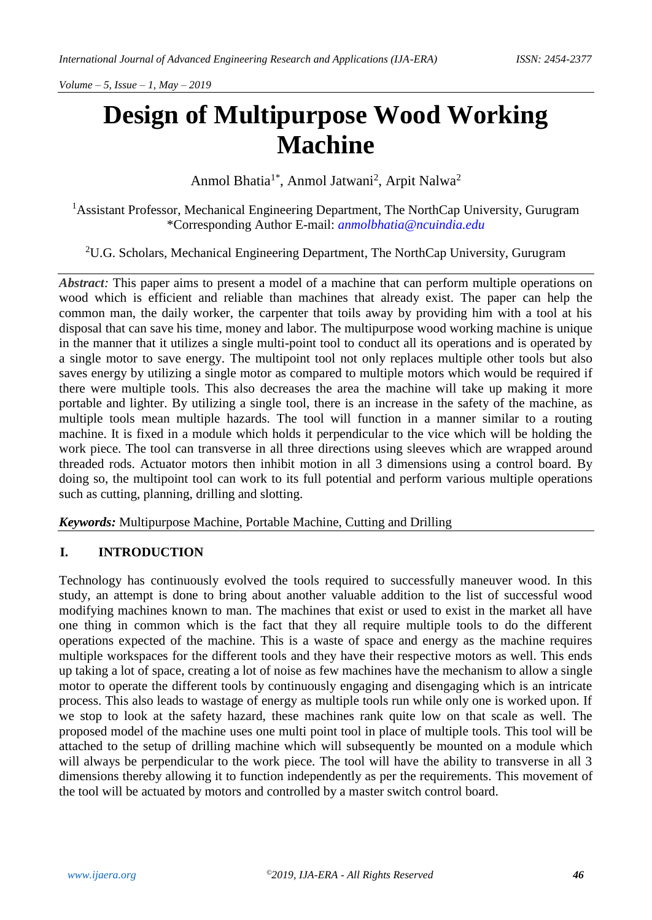*Volume – 5, Issue – 1, May – 2019*

# **Design of Multipurpose Wood Working Machine**

Anmol Bhatia<sup>1\*</sup>, Anmol Jatwani<sup>2</sup>, Arpit Nalwa<sup>2</sup>

<sup>1</sup>Assistant Professor, Mechanical Engineering Department, The NorthCap University, Gurugram \*Corresponding Author E-mail: *[anmolbhatia@ncuindia.edu](mailto:anmolbhatia@ncuindia.edu)*

<sup>2</sup>U.G. Scholars, Mechanical Engineering Department, The NorthCap University, Gurugram

*Abstract:* This paper aims to present a model of a machine that can perform multiple operations on wood which is efficient and reliable than machines that already exist. The paper can help the common man, the daily worker, the carpenter that toils away by providing him with a tool at his disposal that can save his time, money and labor. The multipurpose wood working machine is unique in the manner that it utilizes a single multi-point tool to conduct all its operations and is operated by a single motor to save energy. The multipoint tool not only replaces multiple other tools but also saves energy by utilizing a single motor as compared to multiple motors which would be required if there were multiple tools. This also decreases the area the machine will take up making it more portable and lighter. By utilizing a single tool, there is an increase in the safety of the machine, as multiple tools mean multiple hazards. The tool will function in a manner similar to a routing machine. It is fixed in a module which holds it perpendicular to the vice which will be holding the work piece. The tool can transverse in all three directions using sleeves which are wrapped around threaded rods. Actuator motors then inhibit motion in all 3 dimensions using a control board. By doing so, the multipoint tool can work to its full potential and perform various multiple operations such as cutting, planning, drilling and slotting.

*Keywords:* Multipurpose Machine, Portable Machine, Cutting and Drilling

#### **I. INTRODUCTION**

Technology has continuously evolved the tools required to successfully maneuver wood. In this study, an attempt is done to bring about another valuable addition to the list of successful wood modifying machines known to man. The machines that exist or used to exist in the market all have one thing in common which is the fact that they all require multiple tools to do the different operations expected of the machine. This is a waste of space and energy as the machine requires multiple workspaces for the different tools and they have their respective motors as well. This ends up taking a lot of space, creating a lot of noise as few machines have the mechanism to allow a single motor to operate the different tools by continuously engaging and disengaging which is an intricate process. This also leads to wastage of energy as multiple tools run while only one is worked upon. If we stop to look at the safety hazard, these machines rank quite low on that scale as well. The proposed model of the machine uses one multi point tool in place of multiple tools. This tool will be attached to the setup of drilling machine which will subsequently be mounted on a module which will always be perpendicular to the work piece. The tool will have the ability to transverse in all 3 dimensions thereby allowing it to function independently as per the requirements. This movement of the tool will be actuated by motors and controlled by a master switch control board.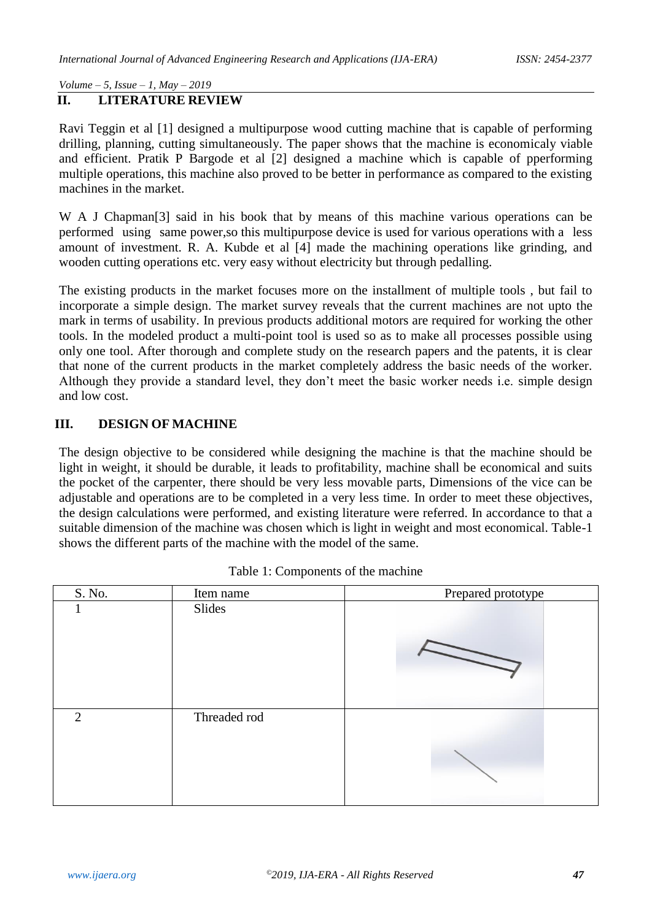*Volume – 5, Issue – 1, May – 2019*

#### **II. LITERATURE REVIEW**

Ravi Teggin et al [1] designed a multipurpose wood cutting machine that is capable of performing drilling, planning, cutting simultaneously. The paper shows that the machine is economicaly viable and efficient. Pratik P Bargode et al [2] designed a machine which is capable of pperforming multiple operations, this machine also proved to be better in performance as compared to the existing machines in the market.

W A J Chapman<sup>[3]</sup> said in his book that by means of this machine various operations can be performed using same power,so this multipurpose device is used for various operations with a less amount of investment. R. A. Kubde et al [4] made the machining operations like grinding, and wooden cutting operations etc. very easy without electricity but through pedalling.

The existing products in the market focuses more on the installment of multiple tools , but fail to incorporate a simple design. The market survey reveals that the current machines are not upto the mark in terms of usability. In previous products additional motors are required for working the other tools. In the modeled product a multi-point tool is used so as to make all processes possible using only one tool. After thorough and complete study on the research papers and the patents, it is clear that none of the current products in the market completely address the basic needs of the worker. Although they provide a standard level, they don't meet the basic worker needs i.e. simple design and low cost.

### **III. DESIGN OF MACHINE**

The design objective to be considered while designing the machine is that the machine should be light in weight, it should be durable, it leads to profitability, machine shall be economical and suits the pocket of the carpenter, there should be very less movable parts, Dimensions of the vice can be adjustable and operations are to be completed in a very less time. In order to meet these objectives, the design calculations were performed, and existing literature were referred. In accordance to that a suitable dimension of the machine was chosen which is light in weight and most economical. Table-1 shows the different parts of the machine with the model of the same.

| S. No. | Item name    | Prepared prototype |
|--------|--------------|--------------------|
|        | Slides       |                    |
| 2      | Threaded rod |                    |

|  |  |  |  | Table 1: Components of the machine |
|--|--|--|--|------------------------------------|
|--|--|--|--|------------------------------------|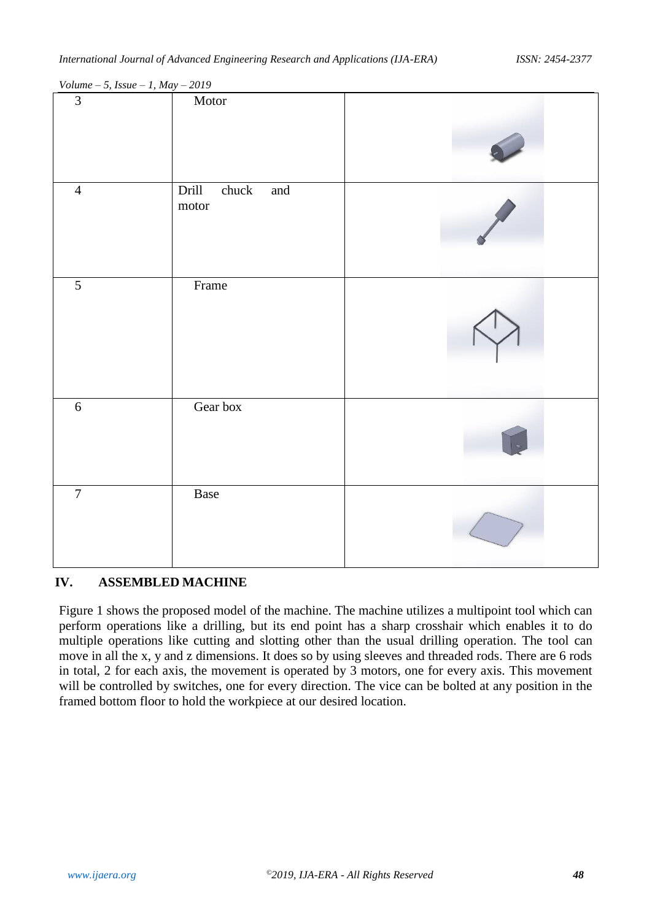| Drill<br>chuck<br>$\quad \text{and} \quad$<br>motor<br>Frame<br>Gear box<br>Base |       |  |  |
|----------------------------------------------------------------------------------|-------|--|--|
|                                                                                  | Motor |  |  |

*Volume – 5, Issue – 1, May – 2019*

#### **IV. ASSEMBLED MACHINE**

Figure 1 shows the proposed model of the machine. The machine utilizes a multipoint tool which can perform operations like a drilling, but its end point has a sharp crosshair which enables it to do multiple operations like cutting and slotting other than the usual drilling operation. The tool can move in all the x, y and z dimensions. It does so by using sleeves and threaded rods. There are 6 rods in total, 2 for each axis, the movement is operated by 3 motors, one for every axis. This movement will be controlled by switches, one for every direction. The vice can be bolted at any position in the framed bottom floor to hold the workpiece at our desired location.